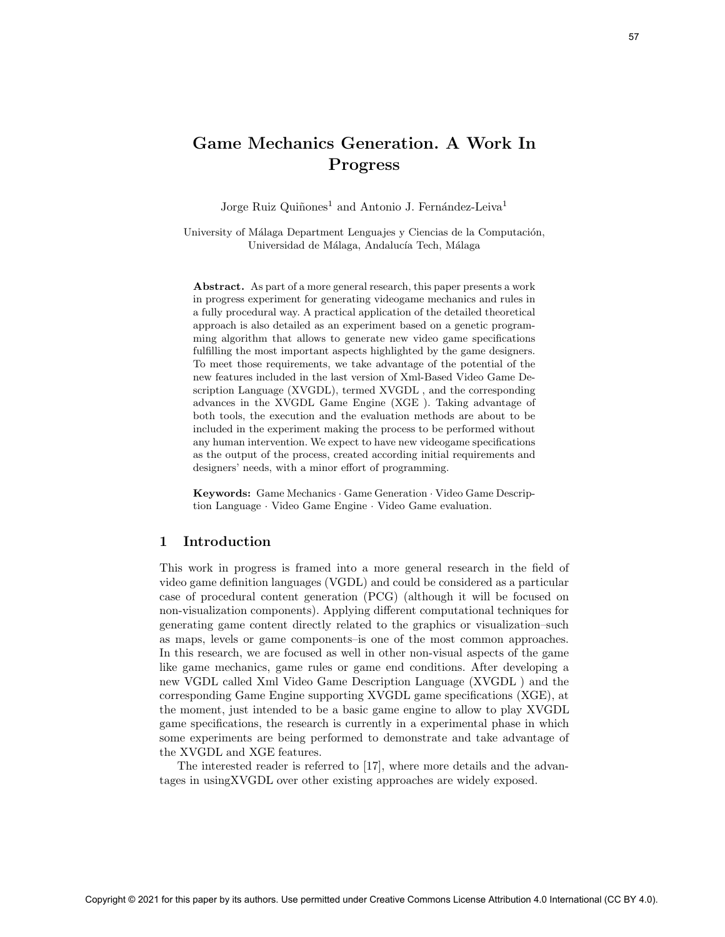# Game Mechanics Generation. A Work In Progress

Jorge Ruiz Quiñones<sup>1</sup> and Antonio J. Fernández-Leiva<sup>1</sup>

University of Málaga Department Lenguajes y Ciencias de la Computación, Universidad de Málaga, Andalucía Tech, Málaga

Abstract. As part of a more general research, this paper presents a work in progress experiment for generating videogame mechanics and rules in a fully procedural way. A practical application of the detailed theoretical approach is also detailed as an experiment based on a genetic programming algorithm that allows to generate new video game specifications fulfilling the most important aspects highlighted by the game designers. To meet those requirements, we take advantage of the potential of the new features included in the last version of Xml-Based Video Game Description Language (XVGDL), termed XVGDL , and the corresponding advances in the XVGDL Game Engine (XGE ). Taking advantage of both tools, the execution and the evaluation methods are about to be included in the experiment making the process to be performed without any human intervention. We expect to have new videogame specifications as the output of the process, created according initial requirements and designers' needs, with a minor effort of programming.

Keywords: Game Mechanics · Game Generation · Video Game Description Language · Video Game Engine · Video Game evaluation.

## 1 Introduction

This work in progress is framed into a more general research in the field of video game definition languages (VGDL) and could be considered as a particular case of procedural content generation (PCG) (although it will be focused on non-visualization components). Applying different computational techniques for generating game content directly related to the graphics or visualization–such as maps, levels or game components–is one of the most common approaches. In this research, we are focused as well in other non-visual aspects of the game like game mechanics, game rules or game end conditions. After developing a new VGDL called Xml Video Game Description Language (XVGDL ) and the corresponding Game Engine supporting XVGDL game specifications (XGE), at the moment, just intended to be a basic game engine to allow to play XVGDL game specifications, the research is currently in a experimental phase in which some experiments are being performed to demonstrate and take advantage of the XVGDL and XGE features. EVALUATION Contrast Correction Attention Level Contrast Commons License Attribution Commons Commons Creative Commons Creative Commons Commons Creative Creative Creative Commons Creative Commons Creative Commons Creative C

The interested reader is referred to [17], where more details and the advantages in usingXVGDL over other existing approaches are widely exposed.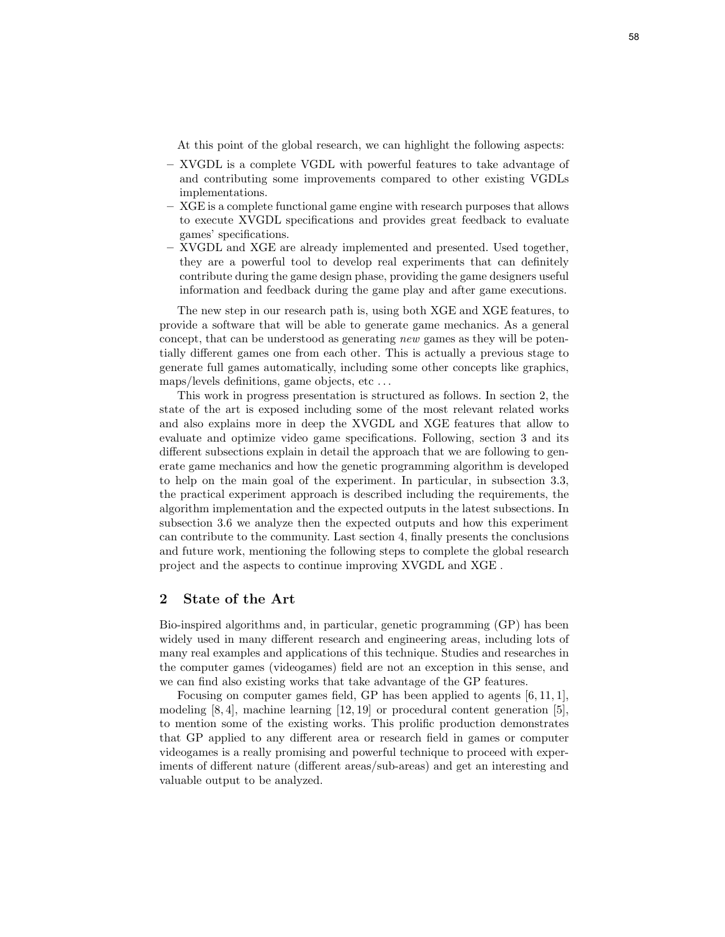At this point of the global research, we can highlight the following aspects:

- XVGDL is a complete VGDL with powerful features to take advantage of and contributing some improvements compared to other existing VGDLs implementations.
- XGE is a complete functional game engine with research purposes that allows to execute XVGDL specifications and provides great feedback to evaluate games' specifications.
- XVGDL and XGE are already implemented and presented. Used together, they are a powerful tool to develop real experiments that can definitely contribute during the game design phase, providing the game designers useful information and feedback during the game play and after game executions.

The new step in our research path is, using both XGE and XGE features, to provide a software that will be able to generate game mechanics. As a general concept, that can be understood as generating new games as they will be potentially different games one from each other. This is actually a previous stage to generate full games automatically, including some other concepts like graphics, maps/levels definitions, game objects, etc . . .

This work in progress presentation is structured as follows. In section 2, the state of the art is exposed including some of the most relevant related works and also explains more in deep the XVGDL and XGE features that allow to evaluate and optimize video game specifications. Following, section 3 and its different subsections explain in detail the approach that we are following to generate game mechanics and how the genetic programming algorithm is developed to help on the main goal of the experiment. In particular, in subsection 3.3, the practical experiment approach is described including the requirements, the algorithm implementation and the expected outputs in the latest subsections. In subsection 3.6 we analyze then the expected outputs and how this experiment can contribute to the community. Last section 4, finally presents the conclusions and future work, mentioning the following steps to complete the global research project and the aspects to continue improving XVGDL and XGE .

# 2 State of the Art

Bio-inspired algorithms and, in particular, genetic programming (GP) has been widely used in many different research and engineering areas, including lots of many real examples and applications of this technique. Studies and researches in the computer games (videogames) field are not an exception in this sense, and we can find also existing works that take advantage of the GP features.

Focusing on computer games field, GP has been applied to agents [6, 11, 1], modeling [8, 4], machine learning [12, 19] or procedural content generation [5], to mention some of the existing works. This prolific production demonstrates that GP applied to any different area or research field in games or computer videogames is a really promising and powerful technique to proceed with experiments of different nature (different areas/sub-areas) and get an interesting and valuable output to be analyzed.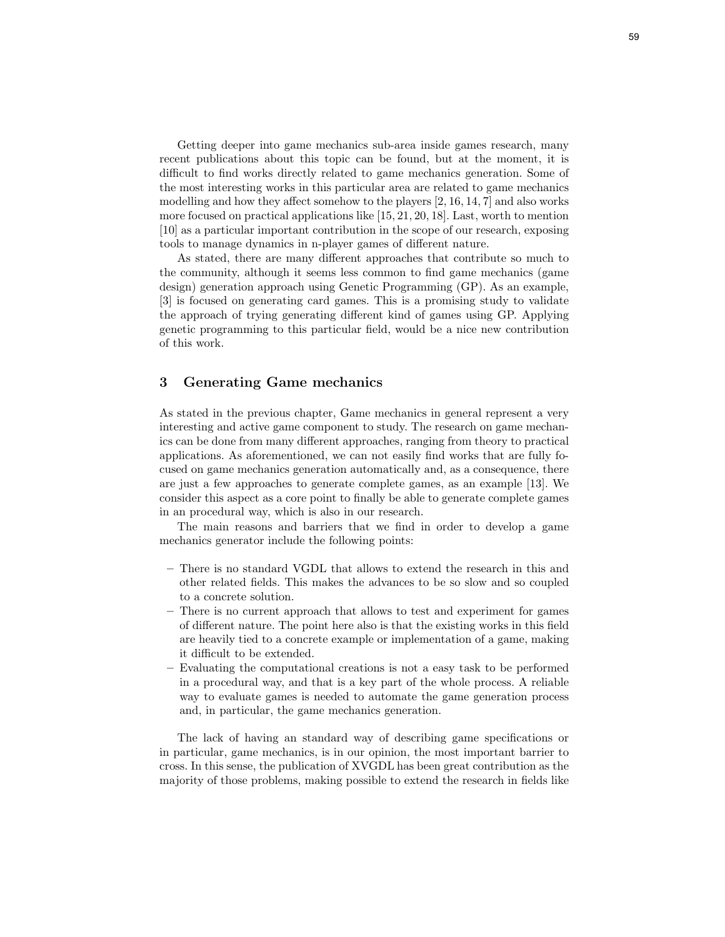Getting deeper into game mechanics sub-area inside games research, many recent publications about this topic can be found, but at the moment, it is difficult to find works directly related to game mechanics generation. Some of the most interesting works in this particular area are related to game mechanics modelling and how they affect somehow to the players [2, 16, 14, 7] and also works more focused on practical applications like [15, 21, 20, 18]. Last, worth to mention [10] as a particular important contribution in the scope of our research, exposing tools to manage dynamics in n-player games of different nature.

As stated, there are many different approaches that contribute so much to the community, although it seems less common to find game mechanics (game design) generation approach using Genetic Programming (GP). As an example, [3] is focused on generating card games. This is a promising study to validate the approach of trying generating different kind of games using GP. Applying genetic programming to this particular field, would be a nice new contribution of this work.

## 3 Generating Game mechanics

As stated in the previous chapter, Game mechanics in general represent a very interesting and active game component to study. The research on game mechanics can be done from many different approaches, ranging from theory to practical applications. As aforementioned, we can not easily find works that are fully focused on game mechanics generation automatically and, as a consequence, there are just a few approaches to generate complete games, as an example [13]. We consider this aspect as a core point to finally be able to generate complete games in an procedural way, which is also in our research.

The main reasons and barriers that we find in order to develop a game mechanics generator include the following points:

- There is no standard VGDL that allows to extend the research in this and other related fields. This makes the advances to be so slow and so coupled to a concrete solution.
- There is no current approach that allows to test and experiment for games of different nature. The point here also is that the existing works in this field are heavily tied to a concrete example or implementation of a game, making it difficult to be extended.
- Evaluating the computational creations is not a easy task to be performed in a procedural way, and that is a key part of the whole process. A reliable way to evaluate games is needed to automate the game generation process and, in particular, the game mechanics generation.

The lack of having an standard way of describing game specifications or in particular, game mechanics, is in our opinion, the most important barrier to cross. In this sense, the publication of XVGDL has been great contribution as the majority of those problems, making possible to extend the research in fields like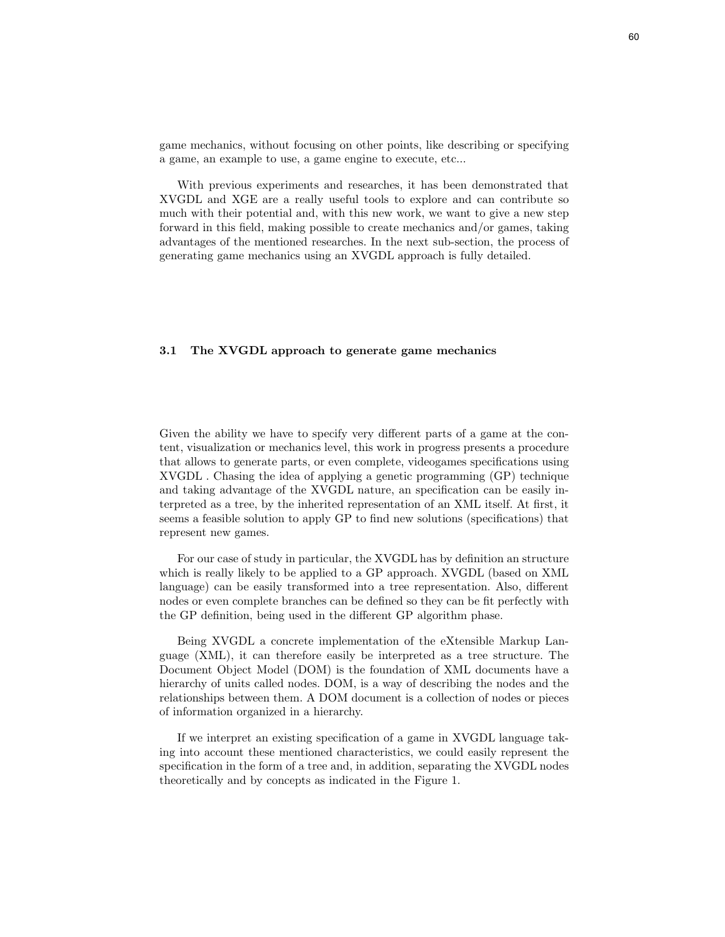game mechanics, without focusing on other points, like describing or specifying a game, an example to use, a game engine to execute, etc...

With previous experiments and researches, it has been demonstrated that XVGDL and XGE are a really useful tools to explore and can contribute so much with their potential and, with this new work, we want to give a new step forward in this field, making possible to create mechanics and/or games, taking advantages of the mentioned researches. In the next sub-section, the process of generating game mechanics using an XVGDL approach is fully detailed.

#### 3.1 The XVGDL approach to generate game mechanics

Given the ability we have to specify very different parts of a game at the content, visualization or mechanics level, this work in progress presents a procedure that allows to generate parts, or even complete, videogames specifications using XVGDL . Chasing the idea of applying a genetic programming (GP) technique and taking advantage of the XVGDL nature, an specification can be easily interpreted as a tree, by the inherited representation of an XML itself. At first, it seems a feasible solution to apply GP to find new solutions (specifications) that represent new games.

For our case of study in particular, the XVGDL has by definition an structure which is really likely to be applied to a GP approach. XVGDL (based on XML language) can be easily transformed into a tree representation. Also, different nodes or even complete branches can be defined so they can be fit perfectly with the GP definition, being used in the different GP algorithm phase.

Being XVGDL a concrete implementation of the eXtensible Markup Language (XML), it can therefore easily be interpreted as a tree structure. The Document Object Model (DOM) is the foundation of XML documents have a hierarchy of units called nodes. DOM, is a way of describing the nodes and the relationships between them. A DOM document is a collection of nodes or pieces of information organized in a hierarchy.

If we interpret an existing specification of a game in XVGDL language taking into account these mentioned characteristics, we could easily represent the specification in the form of a tree and, in addition, separating the XVGDL nodes theoretically and by concepts as indicated in the Figure 1.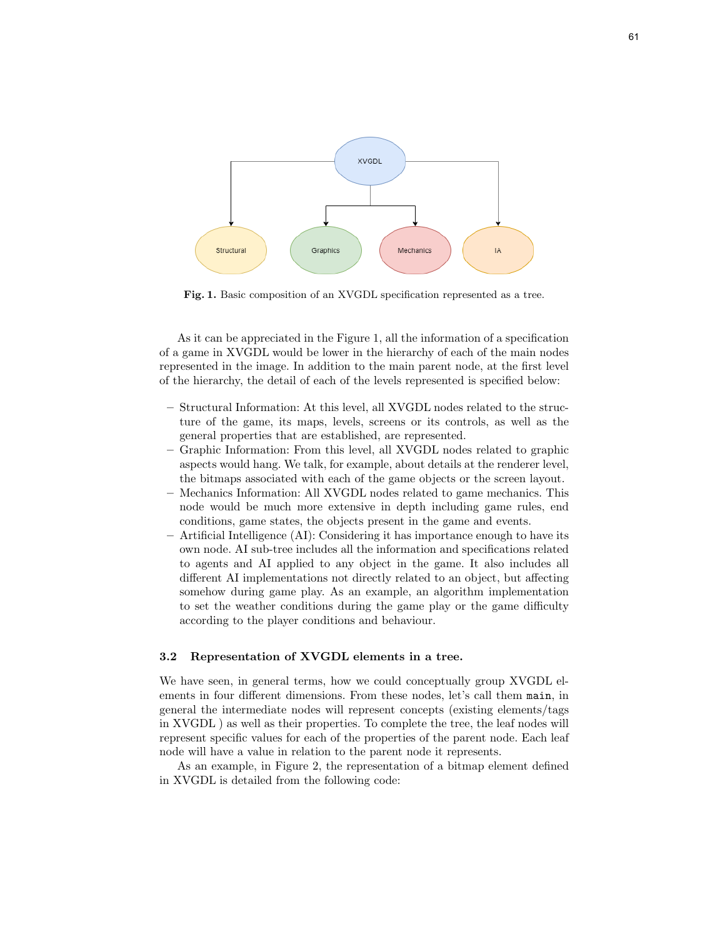

Fig. 1. Basic composition of an XVGDL specification represented as a tree.

As it can be appreciated in the Figure 1, all the information of a specification of a game in XVGDL would be lower in the hierarchy of each of the main nodes represented in the image. In addition to the main parent node, at the first level of the hierarchy, the detail of each of the levels represented is specified below:

- Structural Information: At this level, all XVGDL nodes related to the structure of the game, its maps, levels, screens or its controls, as well as the general properties that are established, are represented.
- Graphic Information: From this level, all XVGDL nodes related to graphic aspects would hang. We talk, for example, about details at the renderer level, the bitmaps associated with each of the game objects or the screen layout.
- Mechanics Information: All XVGDL nodes related to game mechanics. This node would be much more extensive in depth including game rules, end conditions, game states, the objects present in the game and events.
- Artificial Intelligence (AI): Considering it has importance enough to have its own node. AI sub-tree includes all the information and specifications related to agents and AI applied to any object in the game. It also includes all different AI implementations not directly related to an object, but affecting somehow during game play. As an example, an algorithm implementation to set the weather conditions during the game play or the game difficulty according to the player conditions and behaviour.

#### 3.2 Representation of XVGDL elements in a tree.

We have seen, in general terms, how we could conceptually group XVGDL elements in four different dimensions. From these nodes, let's call them main, in general the intermediate nodes will represent concepts (existing elements/tags in XVGDL ) as well as their properties. To complete the tree, the leaf nodes will represent specific values for each of the properties of the parent node. Each leaf node will have a value in relation to the parent node it represents.

As an example, in Figure 2, the representation of a bitmap element defined in XVGDL is detailed from the following code: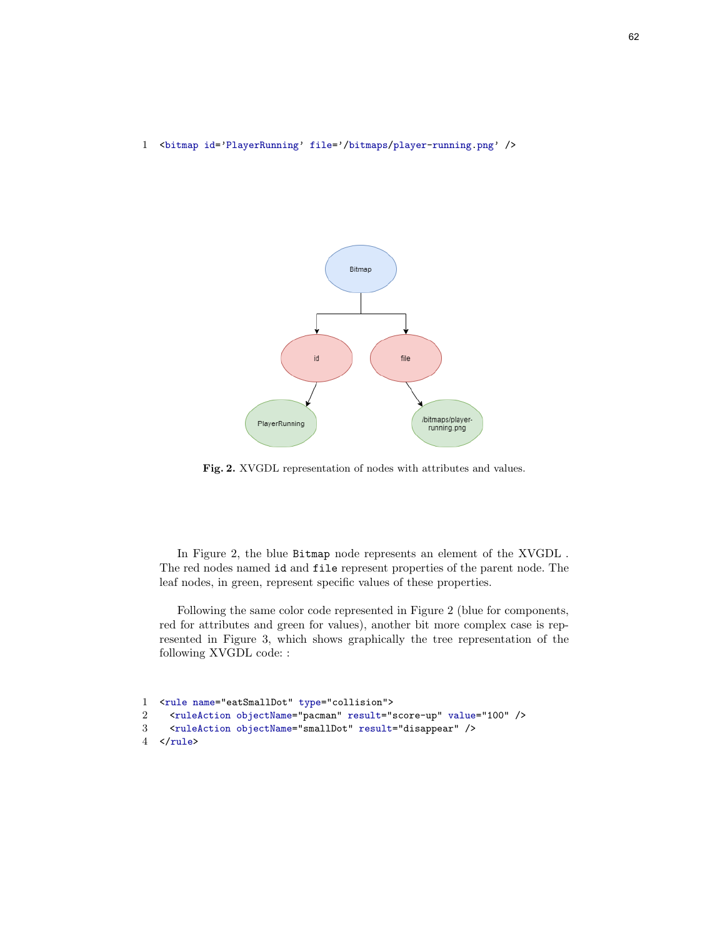1 <bitmap id='PlayerRunning' file='/bitmaps/player-running.png' />



Fig. 2. XVGDL representation of nodes with attributes and values.

In Figure 2, the blue Bitmap node represents an element of the XVGDL . The red nodes named id and file represent properties of the parent node. The leaf nodes, in green, represent specific values of these properties.

Following the same color code represented in Figure 2 (blue for components, red for attributes and green for values), another bit more complex case is represented in Figure 3, which shows graphically the tree representation of the following XVGDL code: :

```
1 <rule name="eatSmallDot" type="collision">
2 <ruleAction objectName="pacman" result="score-up" value="100" />
3 <ruleAction objectName="smallDot" result="disappear" />
4 \times/rule>
```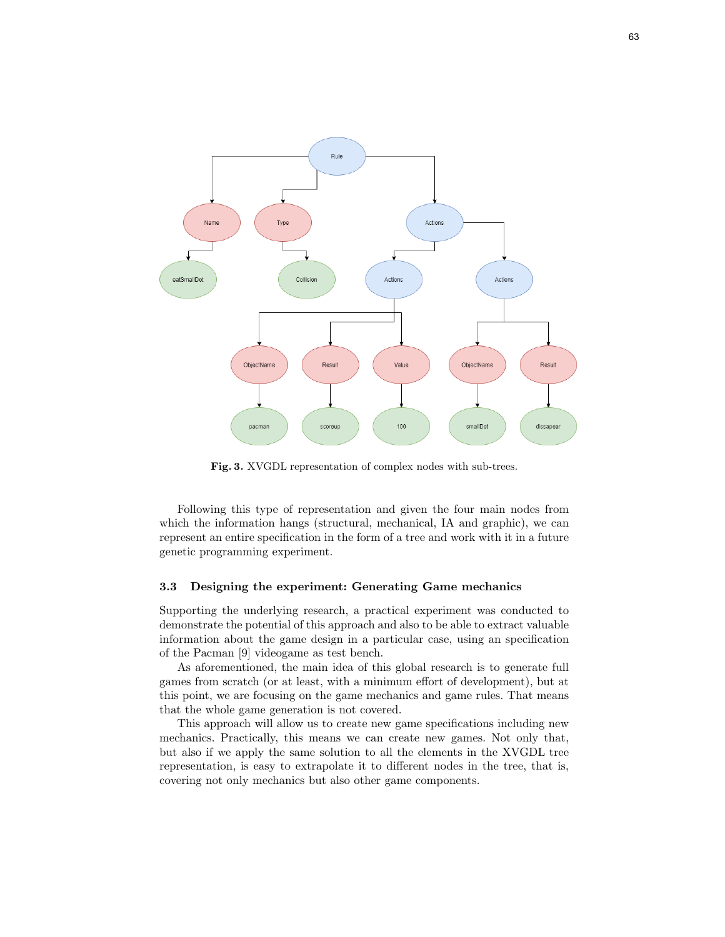

Fig. 3. XVGDL representation of complex nodes with sub-trees.

Following this type of representation and given the four main nodes from which the information hangs (structural, mechanical, IA and graphic), we can represent an entire specification in the form of a tree and work with it in a future genetic programming experiment.

#### 3.3 Designing the experiment: Generating Game mechanics

Supporting the underlying research, a practical experiment was conducted to demonstrate the potential of this approach and also to be able to extract valuable information about the game design in a particular case, using an specification of the Pacman [9] videogame as test bench.

As aforementioned, the main idea of this global research is to generate full games from scratch (or at least, with a minimum effort of development), but at this point, we are focusing on the game mechanics and game rules. That means that the whole game generation is not covered.

This approach will allow us to create new game specifications including new mechanics. Practically, this means we can create new games. Not only that, but also if we apply the same solution to all the elements in the XVGDL tree representation, is easy to extrapolate it to different nodes in the tree, that is, covering not only mechanics but also other game components.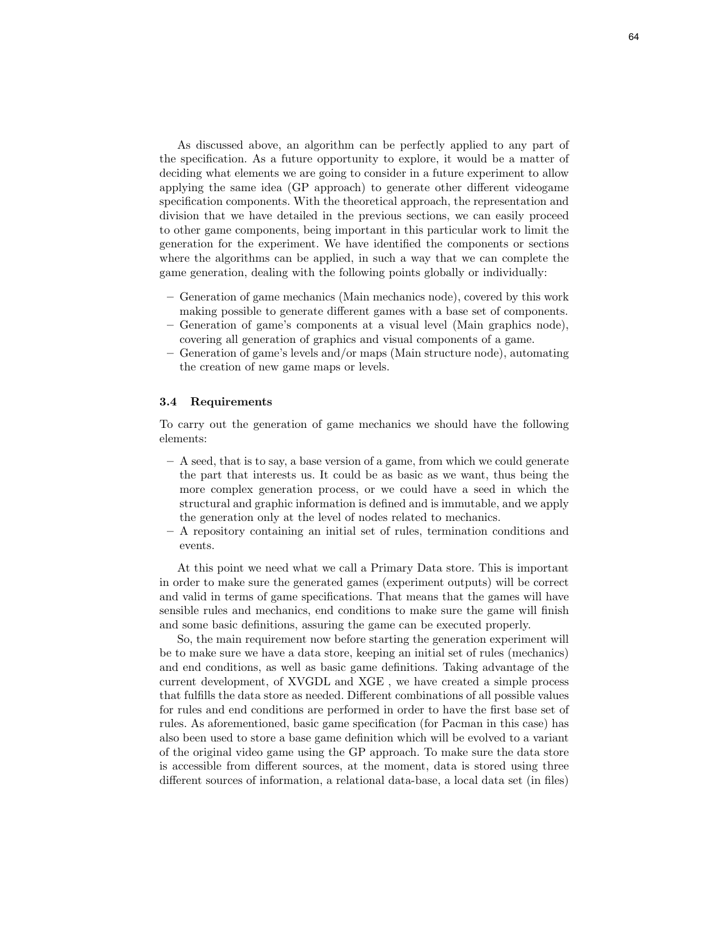As discussed above, an algorithm can be perfectly applied to any part of the specification. As a future opportunity to explore, it would be a matter of deciding what elements we are going to consider in a future experiment to allow applying the same idea (GP approach) to generate other different videogame specification components. With the theoretical approach, the representation and division that we have detailed in the previous sections, we can easily proceed to other game components, being important in this particular work to limit the generation for the experiment. We have identified the components or sections where the algorithms can be applied, in such a way that we can complete the game generation, dealing with the following points globally or individually:

- Generation of game mechanics (Main mechanics node), covered by this work making possible to generate different games with a base set of components.
- Generation of game's components at a visual level (Main graphics node), covering all generation of graphics and visual components of a game.
- Generation of game's levels and/or maps (Main structure node), automating the creation of new game maps or levels.

#### 3.4 Requirements

To carry out the generation of game mechanics we should have the following elements:

- A seed, that is to say, a base version of a game, from which we could generate the part that interests us. It could be as basic as we want, thus being the more complex generation process, or we could have a seed in which the structural and graphic information is defined and is immutable, and we apply the generation only at the level of nodes related to mechanics.
- A repository containing an initial set of rules, termination conditions and events.

At this point we need what we call a Primary Data store. This is important in order to make sure the generated games (experiment outputs) will be correct and valid in terms of game specifications. That means that the games will have sensible rules and mechanics, end conditions to make sure the game will finish and some basic definitions, assuring the game can be executed properly.

So, the main requirement now before starting the generation experiment will be to make sure we have a data store, keeping an initial set of rules (mechanics) and end conditions, as well as basic game definitions. Taking advantage of the current development, of XVGDL and XGE , we have created a simple process that fulfills the data store as needed. Different combinations of all possible values for rules and end conditions are performed in order to have the first base set of rules. As aforementioned, basic game specification (for Pacman in this case) has also been used to store a base game definition which will be evolved to a variant of the original video game using the GP approach. To make sure the data store is accessible from different sources, at the moment, data is stored using three different sources of information, a relational data-base, a local data set (in files)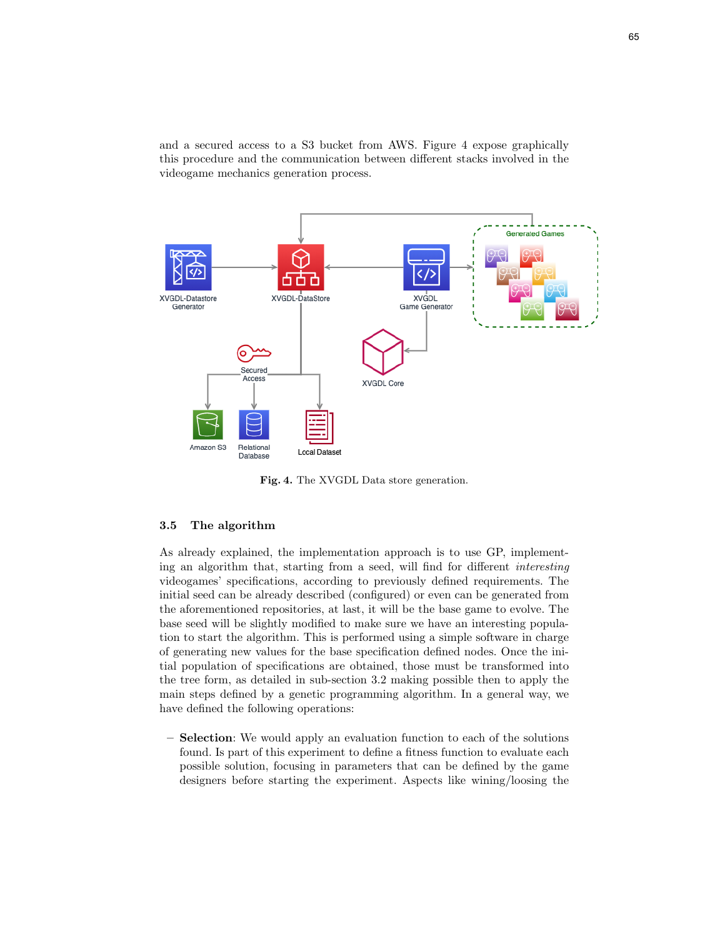and a secured access to a S3 bucket from AWS. Figure 4 expose graphically this procedure and the communication between different stacks involved in the videogame mechanics generation process.



Fig. 4. The XVGDL Data store generation.

#### 3.5 The algorithm

As already explained, the implementation approach is to use GP, implementing an algorithm that, starting from a seed, will find for different interesting videogames' specifications, according to previously defined requirements. The initial seed can be already described (configured) or even can be generated from the aforementioned repositories, at last, it will be the base game to evolve. The base seed will be slightly modified to make sure we have an interesting population to start the algorithm. This is performed using a simple software in charge of generating new values for the base specification defined nodes. Once the initial population of specifications are obtained, those must be transformed into the tree form, as detailed in sub-section 3.2 making possible then to apply the main steps defined by a genetic programming algorithm. In a general way, we have defined the following operations:

– Selection: We would apply an evaluation function to each of the solutions found. Is part of this experiment to define a fitness function to evaluate each possible solution, focusing in parameters that can be defined by the game designers before starting the experiment. Aspects like wining/loosing the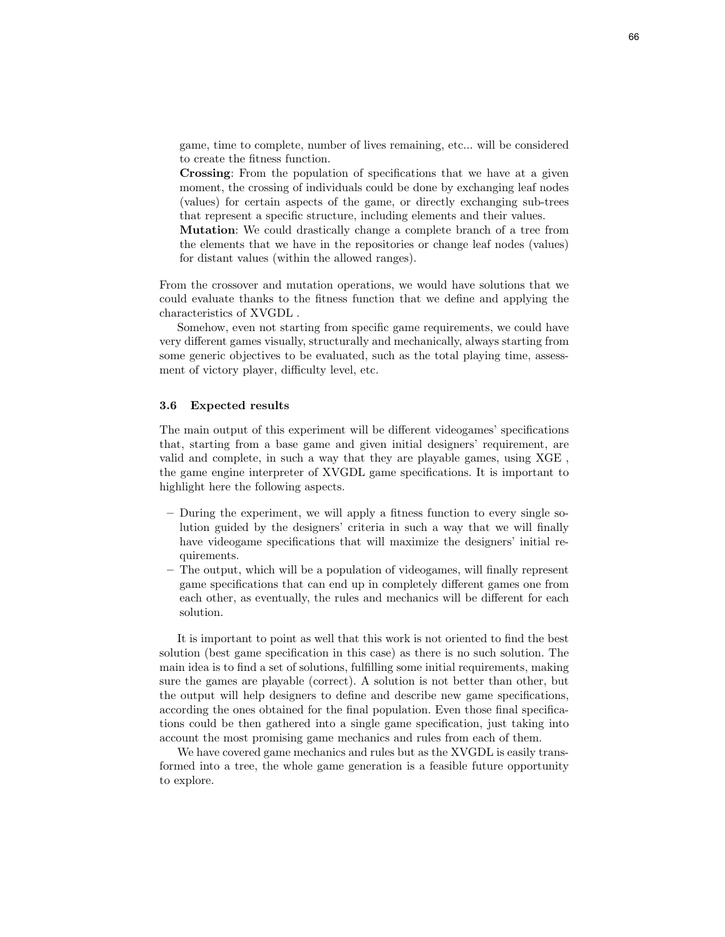game, time to complete, number of lives remaining, etc... will be considered to create the fitness function.

Crossing: From the population of specifications that we have at a given moment, the crossing of individuals could be done by exchanging leaf nodes (values) for certain aspects of the game, or directly exchanging sub-trees that represent a specific structure, including elements and their values.

Mutation: We could drastically change a complete branch of a tree from the elements that we have in the repositories or change leaf nodes (values) for distant values (within the allowed ranges).

From the crossover and mutation operations, we would have solutions that we could evaluate thanks to the fitness function that we define and applying the characteristics of XVGDL .

Somehow, even not starting from specific game requirements, we could have very different games visually, structurally and mechanically, always starting from some generic objectives to be evaluated, such as the total playing time, assessment of victory player, difficulty level, etc.

#### 3.6 Expected results

The main output of this experiment will be different videogames' specifications that, starting from a base game and given initial designers' requirement, are valid and complete, in such a way that they are playable games, using XGE , the game engine interpreter of XVGDL game specifications. It is important to highlight here the following aspects.

- During the experiment, we will apply a fitness function to every single solution guided by the designers' criteria in such a way that we will finally have videogame specifications that will maximize the designers' initial requirements.
- The output, which will be a population of videogames, will finally represent game specifications that can end up in completely different games one from each other, as eventually, the rules and mechanics will be different for each solution.

It is important to point as well that this work is not oriented to find the best solution (best game specification in this case) as there is no such solution. The main idea is to find a set of solutions, fulfilling some initial requirements, making sure the games are playable (correct). A solution is not better than other, but the output will help designers to define and describe new game specifications, according the ones obtained for the final population. Even those final specifications could be then gathered into a single game specification, just taking into account the most promising game mechanics and rules from each of them.

We have covered game mechanics and rules but as the XVGDL is easily transformed into a tree, the whole game generation is a feasible future opportunity to explore.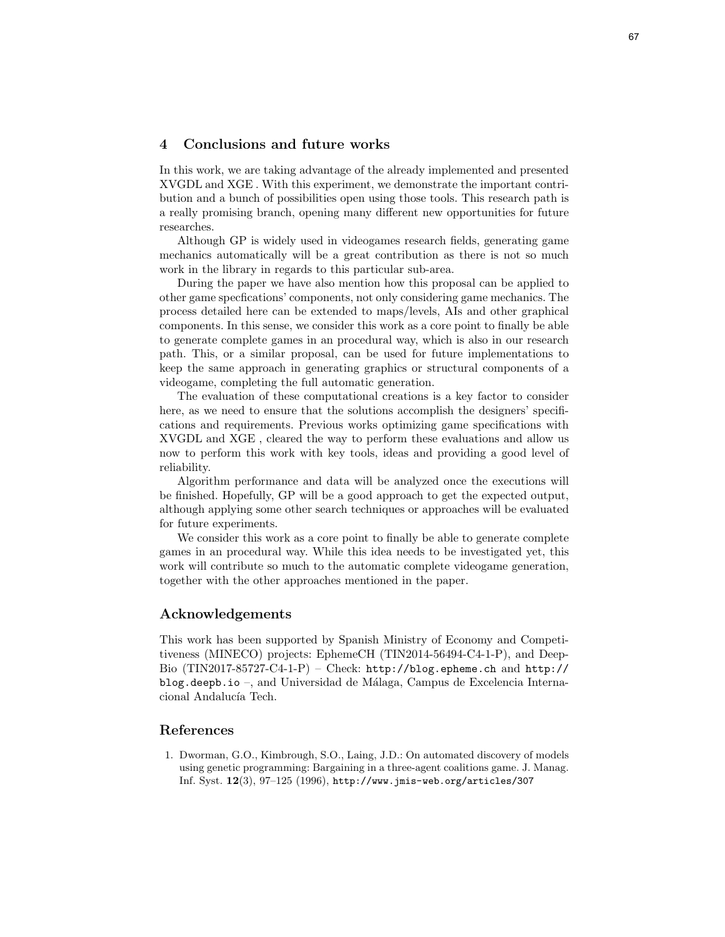# 4 Conclusions and future works

In this work, we are taking advantage of the already implemented and presented XVGDL and XGE . With this experiment, we demonstrate the important contribution and a bunch of possibilities open using those tools. This research path is a really promising branch, opening many different new opportunities for future researches.

Although GP is widely used in videogames research fields, generating game mechanics automatically will be a great contribution as there is not so much work in the library in regards to this particular sub-area.

During the paper we have also mention how this proposal can be applied to other game specfications' components, not only considering game mechanics. The process detailed here can be extended to maps/levels, AIs and other graphical components. In this sense, we consider this work as a core point to finally be able to generate complete games in an procedural way, which is also in our research path. This, or a similar proposal, can be used for future implementations to keep the same approach in generating graphics or structural components of a videogame, completing the full automatic generation.

The evaluation of these computational creations is a key factor to consider here, as we need to ensure that the solutions accomplish the designers' specifications and requirements. Previous works optimizing game specifications with XVGDL and XGE , cleared the way to perform these evaluations and allow us now to perform this work with key tools, ideas and providing a good level of reliability.

Algorithm performance and data will be analyzed once the executions will be finished. Hopefully, GP will be a good approach to get the expected output, although applying some other search techniques or approaches will be evaluated for future experiments.

We consider this work as a core point to finally be able to generate complete games in an procedural way. While this idea needs to be investigated yet, this work will contribute so much to the automatic complete videogame generation, together with the other approaches mentioned in the paper.

# Acknowledgements

This work has been supported by Spanish Ministry of Economy and Competitiveness (MINECO) projects: EphemeCH (TIN2014-56494-C4-1-P), and Deep-Bio (TIN2017-85727-C4-1-P) – Check: http://blog.epheme.ch and http:// blog.deepb.io –, and Universidad de Málaga, Campus de Excelencia Internacional Andalucía Tech.

## References

1. Dworman, G.O., Kimbrough, S.O., Laing, J.D.: On automated discovery of models using genetic programming: Bargaining in a three-agent coalitions game. J. Manag. Inf. Syst. 12(3), 97–125 (1996), http://www.jmis-web.org/articles/307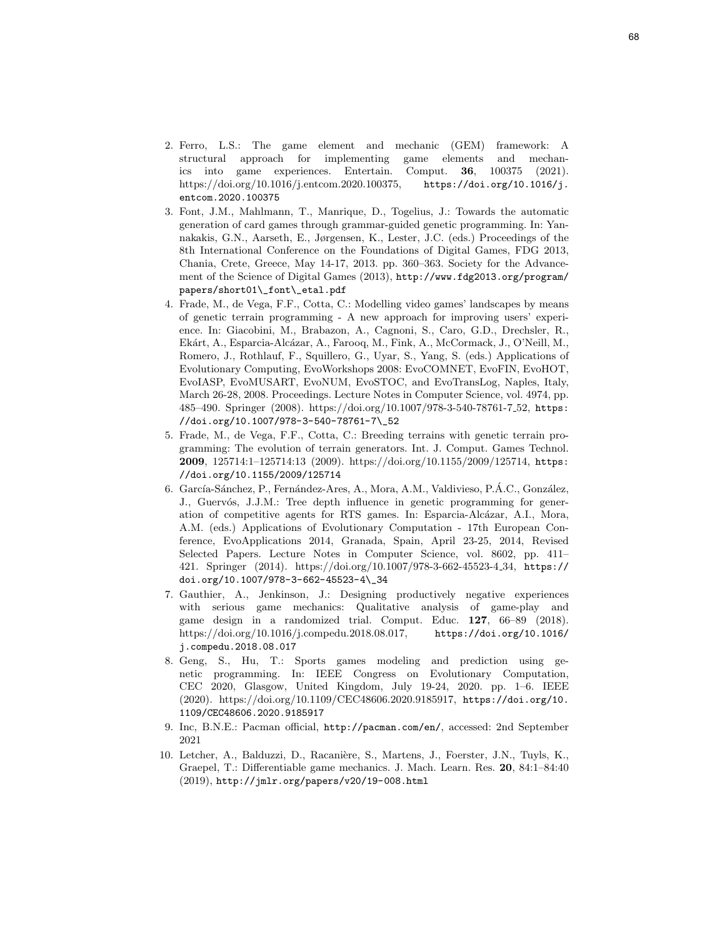- 2. Ferro, L.S.: The game element and mechanic (GEM) framework: A structural approach for implementing game elements and mechanics into game experiences. Entertain. Comput. 36, 100375 (2021). https://doi.org/10.1016/j.entcom.2020.100375, https://doi.org/10.1016/j. entcom.2020.100375
- 3. Font, J.M., Mahlmann, T., Manrique, D., Togelius, J.: Towards the automatic generation of card games through grammar-guided genetic programming. In: Yannakakis, G.N., Aarseth, E., Jørgensen, K., Lester, J.C. (eds.) Proceedings of the 8th International Conference on the Foundations of Digital Games, FDG 2013, Chania, Crete, Greece, May 14-17, 2013. pp. 360–363. Society for the Advancement of the Science of Digital Games (2013), http://www.fdg2013.org/program/ papers/short01\\_font\\_etal.pdf
- 4. Frade, M., de Vega, F.F., Cotta, C.: Modelling video games' landscapes by means of genetic terrain programming - A new approach for improving users' experience. In: Giacobini, M., Brabazon, A., Cagnoni, S., Caro, G.D., Drechsler, R., Ekárt, A., Esparcia-Alcázar, A., Farooq, M., Fink, A., McCormack, J., O'Neill, M., Romero, J., Rothlauf, F., Squillero, G., Uyar, S., Yang, S. (eds.) Applications of Evolutionary Computing, EvoWorkshops 2008: EvoCOMNET, EvoFIN, EvoHOT, EvoIASP, EvoMUSART, EvoNUM, EvoSTOC, and EvoTransLog, Naples, Italy, March 26-28, 2008. Proceedings. Lecture Notes in Computer Science, vol. 4974, pp. 485–490. Springer (2008). https://doi.org/10.1007/978-3-540-78761-7 52, https: //doi.org/10.1007/978-3-540-78761-7\\_52
- 5. Frade, M., de Vega, F.F., Cotta, C.: Breeding terrains with genetic terrain programming: The evolution of terrain generators. Int. J. Comput. Games Technol. 2009, 125714:1–125714:13 (2009). https://doi.org/10.1155/2009/125714, https: //doi.org/10.1155/2009/125714
- 6. García-Sánchez, P., Fernández-Ares, A., Mora, A.M., Valdivieso, P.Á.C., González, J., Guervós, J.J.M.: Tree depth influence in genetic programming for generation of competitive agents for RTS games. In: Esparcia-Alcázar, A.I., Mora, A.M. (eds.) Applications of Evolutionary Computation - 17th European Conference, EvoApplications 2014, Granada, Spain, April 23-25, 2014, Revised Selected Papers. Lecture Notes in Computer Science, vol. 8602, pp. 411– 421. Springer (2014). https://doi.org/10.1007/978-3-662-45523-4 34, https:// doi.org/10.1007/978-3-662-45523-4\\_34
- 7. Gauthier, A., Jenkinson, J.: Designing productively negative experiences with serious game mechanics: Qualitative analysis of game-play and game design in a randomized trial. Comput. Educ. 127, 66–89 (2018). https://doi.org/10.1016/j.compedu.2018.08.017, https://doi.org/10.1016/ j.compedu.2018.08.017
- 8. Geng, S., Hu, T.: Sports games modeling and prediction using genetic programming. In: IEEE Congress on Evolutionary Computation, CEC 2020, Glasgow, United Kingdom, July 19-24, 2020. pp. 1–6. IEEE (2020). https://doi.org/10.1109/CEC48606.2020.9185917, https://doi.org/10. 1109/CEC48606.2020.9185917
- 9. Inc, B.N.E.: Pacman official, http://pacman.com/en/, accessed: 2nd September 2021
- 10. Letcher, A., Balduzzi, D., Racanière, S., Martens, J., Foerster, J.N., Tuyls, K., Graepel, T.: Differentiable game mechanics. J. Mach. Learn. Res. 20, 84:1–84:40 (2019), http://jmlr.org/papers/v20/19-008.html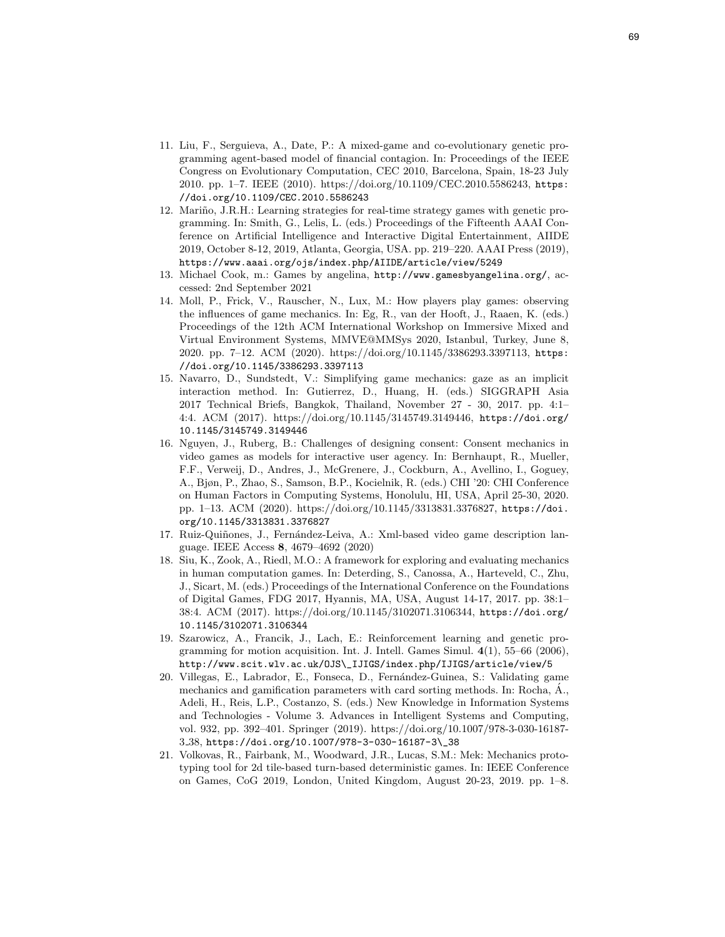- 11. Liu, F., Serguieva, A., Date, P.: A mixed-game and co-evolutionary genetic programming agent-based model of financial contagion. In: Proceedings of the IEEE Congress on Evolutionary Computation, CEC 2010, Barcelona, Spain, 18-23 July 2010. pp. 1–7. IEEE (2010). https://doi.org/10.1109/CEC.2010.5586243, https: //doi.org/10.1109/CEC.2010.5586243
- 12. Mariño, J.R.H.: Learning strategies for real-time strategy games with genetic programming. In: Smith, G., Lelis, L. (eds.) Proceedings of the Fifteenth AAAI Conference on Artificial Intelligence and Interactive Digital Entertainment, AIIDE 2019, October 8-12, 2019, Atlanta, Georgia, USA. pp. 219–220. AAAI Press (2019), https://www.aaai.org/ojs/index.php/AIIDE/article/view/5249
- 13. Michael Cook, m.: Games by angelina, http://www.gamesbyangelina.org/, accessed: 2nd September 2021
- 14. Moll, P., Frick, V., Rauscher, N., Lux, M.: How players play games: observing the influences of game mechanics. In: Eg, R., van der Hooft, J., Raaen, K. (eds.) Proceedings of the 12th ACM International Workshop on Immersive Mixed and Virtual Environment Systems, MMVE@MMSys 2020, Istanbul, Turkey, June 8, 2020. pp. 7–12. ACM (2020). https://doi.org/10.1145/3386293.3397113, https: //doi.org/10.1145/3386293.3397113
- 15. Navarro, D., Sundstedt, V.: Simplifying game mechanics: gaze as an implicit interaction method. In: Gutierrez, D., Huang, H. (eds.) SIGGRAPH Asia 2017 Technical Briefs, Bangkok, Thailand, November 27 - 30, 2017. pp. 4:1– 4:4. ACM (2017). https://doi.org/10.1145/3145749.3149446, https://doi.org/ 10.1145/3145749.3149446
- 16. Nguyen, J., Ruberg, B.: Challenges of designing consent: Consent mechanics in video games as models for interactive user agency. In: Bernhaupt, R., Mueller, F.F., Verweij, D., Andres, J., McGrenere, J., Cockburn, A., Avellino, I., Goguey, A., Bjøn, P., Zhao, S., Samson, B.P., Kocielnik, R. (eds.) CHI '20: CHI Conference on Human Factors in Computing Systems, Honolulu, HI, USA, April 25-30, 2020. pp. 1–13. ACM (2020). https://doi.org/10.1145/3313831.3376827, https://doi. org/10.1145/3313831.3376827
- 17. Ruiz-Quiñones, J., Fernández-Leiva, A.: Xml-based video game description language. IEEE Access 8, 4679–4692 (2020)
- 18. Siu, K., Zook, A., Riedl, M.O.: A framework for exploring and evaluating mechanics in human computation games. In: Deterding, S., Canossa, A., Harteveld, C., Zhu, J., Sicart, M. (eds.) Proceedings of the International Conference on the Foundations of Digital Games, FDG 2017, Hyannis, MA, USA, August 14-17, 2017. pp. 38:1– 38:4. ACM (2017). https://doi.org/10.1145/3102071.3106344, https://doi.org/ 10.1145/3102071.3106344
- 19. Szarowicz, A., Francik, J., Lach, E.: Reinforcement learning and genetic programming for motion acquisition. Int. J. Intell. Games Simul. 4(1), 55–66 (2006), http://www.scit.wlv.ac.uk/OJS\\_IJIGS/index.php/IJIGS/article/view/5
- 20. Villegas, E., Labrador, E., Fonseca, D., Fern´andez-Guinea, S.: Validating game mechanics and gamification parameters with card sorting methods. In: Rocha,  $\hat{A}$ . Adeli, H., Reis, L.P., Costanzo, S. (eds.) New Knowledge in Information Systems and Technologies - Volume 3. Advances in Intelligent Systems and Computing, vol. 932, pp. 392–401. Springer (2019). https://doi.org/10.1007/978-3-030-16187- 3 38, https://doi.org/10.1007/978-3-030-16187-3\\_38
- 21. Volkovas, R., Fairbank, M., Woodward, J.R., Lucas, S.M.: Mek: Mechanics prototyping tool for 2d tile-based turn-based deterministic games. In: IEEE Conference on Games, CoG 2019, London, United Kingdom, August 20-23, 2019. pp. 1–8.